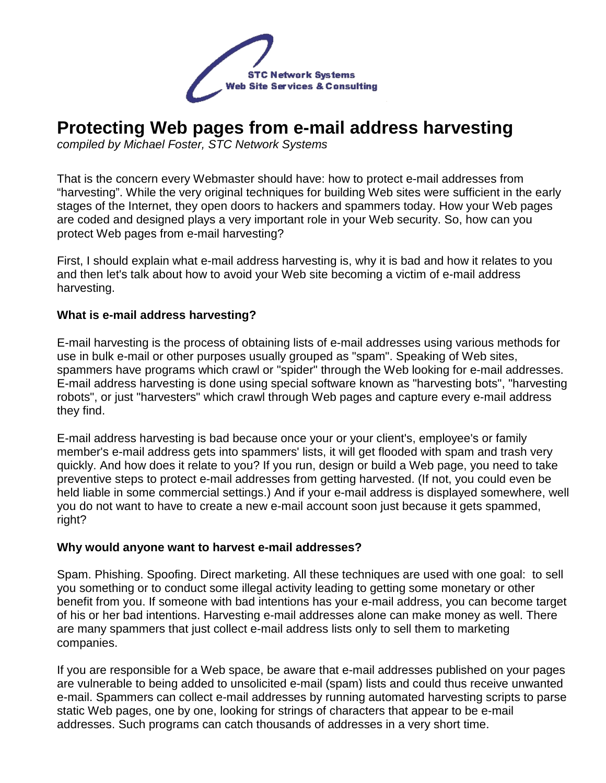

# **Protecting Web pages from e-mail address harvesting**

compiled by Michael Foster, STC Network Systems

That is the concern every Webmaster should have: how to protect e-mail addresses from "harvesting". While the very original techniques for building Web sites were sufficient in the early stages of the Internet, they open doors to hackers and spammers today. How your Web pages are coded and designed plays a very important role in your Web security. So, how can you protect Web pages from e-mail harvesting?

First, I should explain what e-mail address harvesting is, why it is bad and how it relates to you and then let's talk about how to avoid your Web site becoming a victim of e-mail address harvesting.

#### **What is e-mail address harvesting?**

E-mail harvesting is the process of obtaining lists of e-mail addresses using various methods for use in bulk e-mail or other purposes usually grouped as "spam". Speaking of Web sites, spammers have programs which crawl or "spider" through the Web looking for e-mail addresses. E-mail address harvesting is done using special software known as "harvesting bots", "harvesting robots", or just "harvesters" which crawl through Web pages and capture every e-mail address they find.

E-mail address harvesting is bad because once your or your client's, employee's or family member's e-mail address gets into spammers' lists, it will get flooded with spam and trash very quickly. And how does it relate to you? If you run, design or build a Web page, you need to take preventive steps to protect e-mail addresses from getting harvested. (If not, you could even be held liable in some commercial settings.) And if your e-mail address is displayed somewhere, well you do not want to have to create a new e-mail account soon just because it gets spammed, right?

#### **Why would anyone want to harvest e-mail addresses?**

Spam. Phishing. Spoofing. Direct marketing. All these techniques are used with one goal: to sell you something or to conduct some illegal activity leading to getting some monetary or other benefit from you. If someone with bad intentions has your e-mail address, you can become target of his or her bad intentions. Harvesting e-mail addresses alone can make money as well. There are many spammers that just collect e-mail address lists only to sell them to marketing companies.

If you are responsible for a Web space, be aware that e-mail addresses published on your pages are vulnerable to being added to unsolicited e-mail (spam) lists and could thus receive unwanted e-mail. Spammers can collect e-mail addresses by running automated harvesting scripts to parse static Web pages, one by one, looking for strings of characters that appear to be e-mail addresses. Such programs can catch thousands of addresses in a very short time.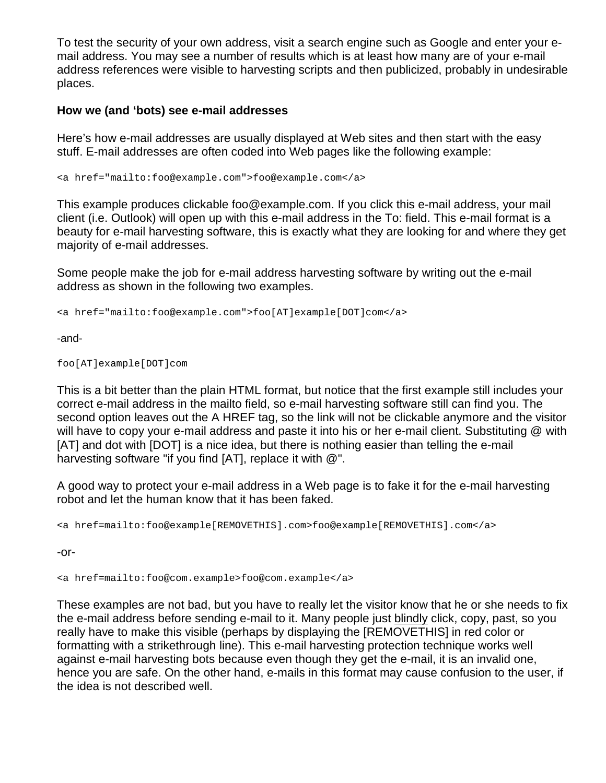To test the security of your own address, visit a search engine such as Google and enter your email address. You may see a number of results which is at least how many are of your e-mail address references were visible to harvesting scripts and then publicized, probably in undesirable places.

#### **How we (and 'bots) see e-mail addresses**

Here's how e-mail addresses are usually displayed at Web sites and then start with the easy stuff. E-mail addresses are often coded into Web pages like the following example:

<a href="mailto:foo@example.com">foo@example.com</a>

This example produces clickable foo@example.com. If you click this e-mail address, your mail client (i.e. Outlook) will open up with this e-mail address in the To: field. This e-mail format is a beauty for e-mail harvesting software, this is exactly what they are looking for and where they get majority of e-mail addresses.

Some people make the job for e-mail address harvesting software by writing out the e-mail address as shown in the following two examples.

<a href="mailto:foo@example.com">foo[AT]example[DOT]com</a>

-and-

foo[AT]example[DOT]com

This is a bit better than the plain HTML format, but notice that the first example still includes your correct e-mail address in the mailto field, so e-mail harvesting software still can find you. The second option leaves out the A HREF tag, so the link will not be clickable anymore and the visitor will have to copy your e-mail address and paste it into his or her e-mail client. Substituting @ with [AT] and dot with [DOT] is a nice idea, but there is nothing easier than telling the e-mail harvesting software "if you find [AT], replace it with @".

A good way to protect your e-mail address in a Web page is to fake it for the e-mail harvesting robot and let the human know that it has been faked.

<a href=mailto:foo@example[REMOVETHIS].com>foo@example[REMOVETHIS].com</a>

-or-

<a href=mailto:foo@com.example>foo@com.example</a>

These examples are not bad, but you have to really let the visitor know that he or she needs to fix the e-mail address before sending e-mail to it. Many people just blindly click, copy, past, so you really have to make this visible (perhaps by displaying the [REMOVETHIS] in red color or formatting with a strikethrough line). This e-mail harvesting protection technique works well against e-mail harvesting bots because even though they get the e-mail, it is an invalid one, hence you are safe. On the other hand, e-mails in this format may cause confusion to the user, if the idea is not described well.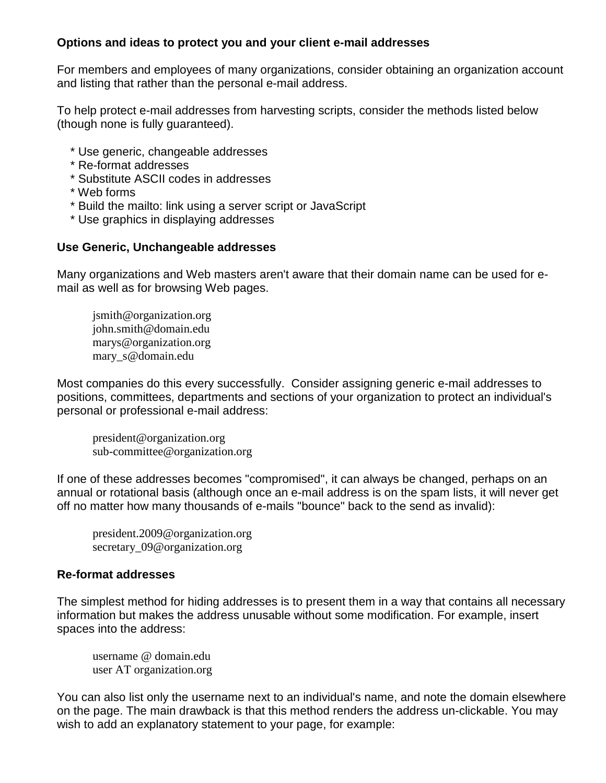### **Options and ideas to protect you and your client e-mail addresses**

For members and employees of many organizations, consider obtaining an organization account and listing that rather than the personal e-mail address.

To help protect e-mail addresses from harvesting scripts, consider the methods listed below (though none is fully guaranteed).

- \* Use generic, changeable addresses
- \* Re-format addresses
- \* Substitute ASCII codes in addresses
- \* Web forms
- \* Build the mailto: link using a server script or JavaScript
- \* Use graphics in displaying addresses

#### **Use Generic, Unchangeable addresses**

Many organizations and Web masters aren't aware that their domain name can be used for email as well as for browsing Web pages.

jsmith@organization.org john.smith@domain.edu marys@organization.org mary\_s@domain.edu

Most companies do this every successfully. Consider assigning generic e-mail addresses to positions, committees, departments and sections of your organization to protect an individual's personal or professional e-mail address:

 president@organization.org sub-committee@organization.org

If one of these addresses becomes "compromised", it can always be changed, perhaps on an annual or rotational basis (although once an e-mail address is on the spam lists, it will never get off no matter how many thousands of e-mails "bounce" back to the send as invalid):

 president.2009@organization.org secretary 09@organization.org

#### **Re-format addresses**

The simplest method for hiding addresses is to present them in a way that contains all necessary information but makes the address unusable without some modification. For example, insert spaces into the address:

 username @ domain.edu user AT organization.org

You can also list only the username next to an individual's name, and note the domain elsewhere on the page. The main drawback is that this method renders the address un-clickable. You may wish to add an explanatory statement to your page, for example: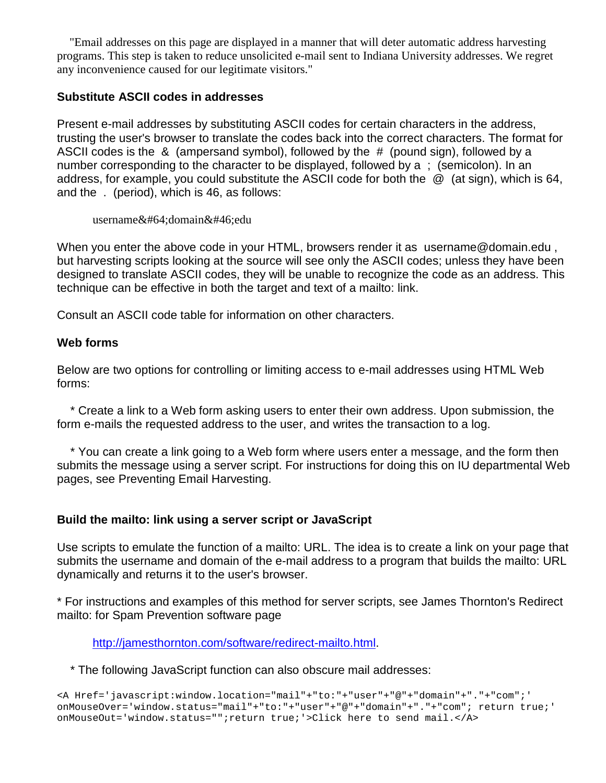"Email addresses on this page are displayed in a manner that will deter automatic address harvesting programs. This step is taken to reduce unsolicited e-mail sent to Indiana University addresses. We regret any inconvenience caused for our legitimate visitors."

#### **Substitute ASCII codes in addresses**

Present e-mail addresses by substituting ASCII codes for certain characters in the address, trusting the user's browser to translate the codes back into the correct characters. The format for ASCII codes is the & (ampersand symbol), followed by the # (pound sign), followed by a number corresponding to the character to be displayed, followed by a ; (semicolon). In an address, for example, you could substitute the ASCII code for both the @ (at sign), which is 64, and the . (period), which is 46, as follows:

username@domain.edu

When you enter the above code in your HTML, browsers render it as username@domain.edu, but harvesting scripts looking at the source will see only the ASCII codes; unless they have been designed to translate ASCII codes, they will be unable to recognize the code as an address. This technique can be effective in both the target and text of a mailto: link.

Consult an ASCII code table for information on other characters.

#### **Web forms**

Below are two options for controlling or limiting access to e-mail addresses using HTML Web forms:

 \* Create a link to a Web form asking users to enter their own address. Upon submission, the form e-mails the requested address to the user, and writes the transaction to a log.

 \* You can create a link going to a Web form where users enter a message, and the form then submits the message using a server script. For instructions for doing this on IU departmental Web pages, see Preventing Email Harvesting.

#### **Build the mailto: link using a server script or JavaScript**

Use scripts to emulate the function of a mailto: URL. The idea is to create a link on your page that submits the username and domain of the e-mail address to a program that builds the mailto: URL dynamically and returns it to the user's browser.

\* For instructions and examples of this method for server scripts, see James Thornton's Redirect mailto: for Spam Prevention software page

http://jamesthornton.com/software/redirect-mailto.html.

\* The following JavaScript function can also obscure mail addresses:

```
<A Href='javascript:window.location="mail"+"to:"+"user"+"@"+"domain"+"."+"com";' 
onMouseOver='window.status="mail"+"to:"+"user"+"@"+"domain"+"."+"com"; return true;' 
onMouseOut='window.status="";return true;'>Click here to send mail.</A>
```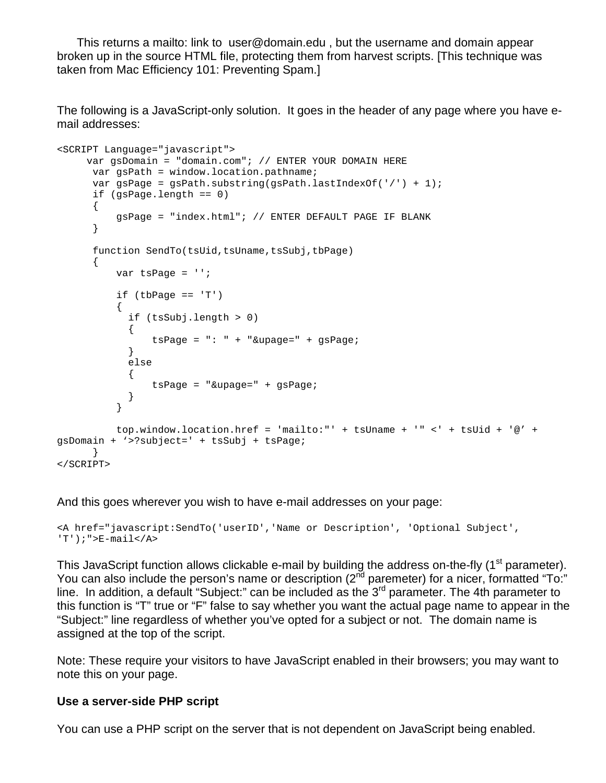This returns a mailto: link to user@domain.edu , but the username and domain appear broken up in the source HTML file, protecting them from harvest scripts. [This technique was taken from Mac Efficiency 101: Preventing Spam.]

The following is a JavaScript-only solution. It goes in the header of any page where you have email addresses:

```
<SCRIPT Language="javascript"> 
     var gsDomain = "domain.com"; // ENTER YOUR DOMAIN HERE 
     var gsPath = window.location.pathname;
      var gsPage = gsPath.substring(gsPath.lastIndexOf('/') + 1); 
      if (gsPage.length == 0) 
       { 
           gsPage = "index.html"; // ENTER DEFAULT PAGE IF BLANK 
       } 
       function SendTo(tsUid,tsUname,tsSubj,tbPage) 
       { 
          var tsPage = ''; 
          if (tbPage == 'T')\{ if (tsSubj.length > 0) 
             { 
                tsPage = ": " + "&upage=" + gsPage; 
             } 
             else 
             { 
                tsPage = "&upage=" + gsPage; 
 } 
 } 
           top.window.location.href = 'mailto:"' + tsUname + '" <' + tsUid + '@' + 
gsDomain + '>?subject=' + tsSubj + tsPage; 
     } 
</SCRIPT>
```
And this goes wherever you wish to have e-mail addresses on your page:

```
<A href="javascript:SendTo('userID','Name or Description', 'Optional Subject', 
'T');">E-mail</A>
```
This JavaScript function allows clickable e-mail by building the address on-the-fly (1<sup>st</sup> parameter). You can also include the person's name or description  $(2^{nd}$  paremeter) for a nicer, formatted "To:" line. In addition, a default "Subject:" can be included as the 3<sup>rd</sup> parameter. The 4th parameter to this function is "T" true or "F" false to say whether you want the actual page name to appear in the "Subject:" line regardless of whether you've opted for a subject or not. The domain name is assigned at the top of the script.

Note: These require your visitors to have JavaScript enabled in their browsers; you may want to note this on your page.

#### **Use a server-side PHP script**

You can use a PHP script on the server that is not dependent on JavaScript being enabled.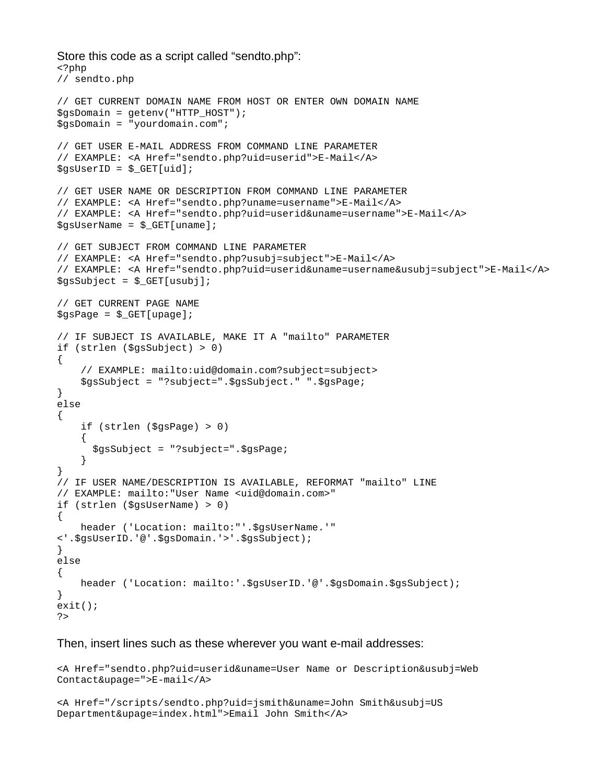```
Store this code as a script called "sendto.php": 
<?php 
// sendto.php 
// GET CURRENT DOMAIN NAME FROM HOST OR ENTER OWN DOMAIN NAME 
$gsDomain = getenv("HTTP_HOST"); 
$gsDomain = "yourdomain.com"; 
// GET USER E-MAIL ADDRESS FROM COMMAND LINE PARAMETER 
// EXAMPLE: <A Href="sendto.php?uid=userid">E-Mail</A> 
$gsUserID = $_GET[uid]; 
// GET USER NAME OR DESCRIPTION FROM COMMAND LINE PARAMETER 
// EXAMPLE: <A Href="sendto.php?uname=username">E-Mail</A> 
// EXAMPLE: <A Href="sendto.php?uid=userid&uname=username">E-Mail</A> 
$gsUserName = $_GET[uname]; 
// GET SUBJECT FROM COMMAND LINE PARAMETER 
// EXAMPLE: <A Href="sendto.php?usubj=subject">E-Mail</A> 
// EXAMPLE: <A Href="sendto.php?uid=userid&uname=username&usubj=subject">E-Mail</A> 
$gssubject = $GET[usubj];// GET CURRENT PAGE NAME 
$gspage = $GET[upage];// IF SUBJECT IS AVAILABLE, MAKE IT A "mailto" PARAMETER 
if (strlen ($gsSubject) > 0) 
{ 
     // EXAMPLE: mailto:uid@domain.com?subject=subject> 
     $gsSubject = "?subject=".$gsSubject." ".$gsPage; 
} 
else 
{ 
     if (strlen ($gsPage) > 0) 
    \left\{ \right. $gsSubject = "?subject=".$gsPage; 
     } 
} 
// IF USER NAME/DESCRIPTION IS AVAILABLE, REFORMAT "mailto" LINE 
// EXAMPLE: mailto:"User Name <uid@domain.com>" 
if (strlen ($gsUserName) > 0) 
{ 
     header ('Location: mailto:"'.$gsUserName.'" 
<'.$gsUserID.'@'.$gsDomain.'>'.$gsSubject); 
} 
else 
{ 
    header ('Location: mailto:'.$gsUserID.'@'.$gsDomain.$gsSubject);
} 
exit(); 
?>
```
#### Then, insert lines such as these wherever you want e-mail addresses:

```
<A Href="sendto.php?uid=userid&uname=User Name or Description&usubj=Web 
Contact&upage=">E-mail</A>
```

```
<A Href="/scripts/sendto.php?uid=jsmith&uname=John Smith&usubj=US 
Department&upage=index.html">Email John Smith</A>
```